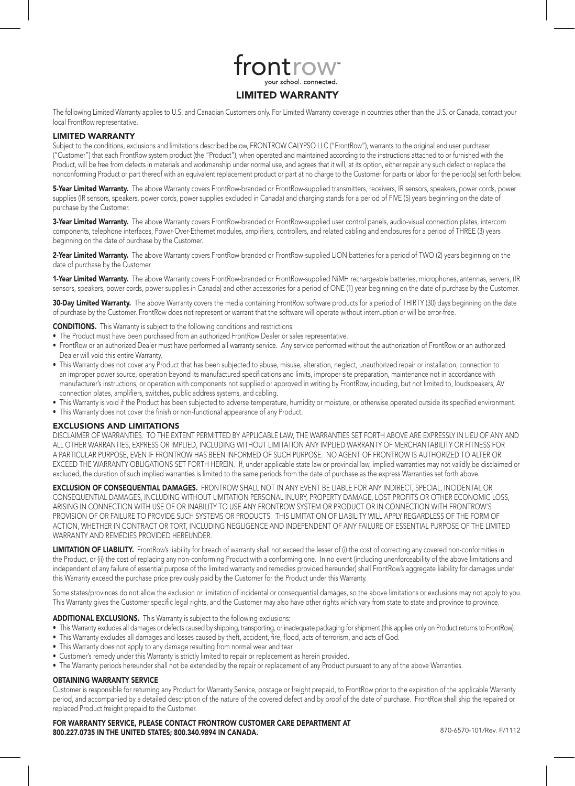

The following Limited Warranty applies to U.S. and Canadian Customers only. For Limited Warranty coverage in countries other than the U.S. or Canada, contact your local FrontRow representative.

# LIMITED WARRANTY

Subject to the conditions, exclusions and limitations described below, FRONTROW CALYPSO LLC ("FrontRow"), warrants to the original end user purchaser ("Customer") that each FrontRow system product (the "Product"), when operated and maintained according to the instructions attached to or furnished with the Product, will be free from defects in materials and workmanship under normal use, and agrees that it will, at its option, either repair any such defect or replace the nonconforming Product or part thereof with an equivalent replacement product or part at no charge to the Customer for parts or labor for the period(s) set forth below.

5-Year Limited Warranty. The above Warranty covers FrontRow-branded or FrontRow-supplied transmitters, receivers, IR sensors, speakers, power cords, power supplies (IR sensors, speakers, power cords, power supplies excluded in Canada) and charging stands for a period of FIVE (5) years beginning on the date of purchase by the Customer.

3-Year Limited Warranty. The above Warranty covers FrontRow-branded or FrontRow-supplied user control panels, audio-visual connection plates, intercom components, telephone interfaces, Power-Over-Ethernet modules, amplifiers, controllers, and related cabling and enclosures for a period of THREE (3) years beginning on the date of purchase by the Customer.

2-Year Limited Warranty. The above Warranty covers FrontRow-branded or FrontRow-supplied LiON batteries for a period of TWO (2) years beginning on the date of purchase by the Customer.

1-Year Limited Warranty. The above Warranty covers FrontRow-branded or FrontRow-supplied NiMH rechargeable batteries, microphones, antennas, servers, (IR sensors, speakers, power cords, power supplies in Canada) and other accessories for a period of ONE (1) year beginning on the date of purchase by the Customer.

30-Day Limited Warranty. The above Warranty covers the media containing FrontRow software products for a period of THIRTY (30) days beginning on the date of purchase by the Customer. FrontRow does not represent or warrant that the software will operate without interruption or will be error-free.

CONDITIONS. This Warranty is subject to the following conditions and restrictions:

- The Product must have been purchased from an authorized FrontRow Dealer or sales representative.
- • FrontRow or an authorized Dealer must have performed all warranty service. Any service performed without the authorization of FrontRow or an authorized Dealer will void this entire Warranty.
- This Warranty does not cover any Product that has been subjected to abuse, misuse, alteration, neglect, unauthorized repair or installation, connection to an improper power source, operation beyond its manufactured specifications and limits, improper site preparation, maintenance not in accordance with manufacturer's instructions, or operation with components not supplied or approved in writing by FrontRow, including, but not limited to, loudspeakers, AV connection plates, amplifiers, switches, public address systems, and cabling.
- • This Warranty is void if the Product has been subjected to adverse temperature, humidity or moisture, or otherwise operated outside its specified environment.
- This Warranty does not cover the finish or non-functional appearance of any Product.

## EXCLUSIONS AND LIMITATIONS

DISCLAIMER OF WARRANTIES. TO THE EXTENT PERMITTED BY APPLICABLE LAW, THE WARRANTIES SET FORTH ABOVE ARE EXPRESSLY IN LIEU OF ANY AND ALL OTHER WARRANTIES, EXPRESS OR IMPLIED, INCLUDING WITHOUT LIMITATION ANY IMPLIED WARRANTY OF MERCHANTABILITY OR FITNESS FOR A PARTICULAR PURPOSE, EVEN IF FRONTROW HAS BEEN INFORMED OF SUCH PURPOSE. NO AGENT OF FRONTROW IS AUTHORIZED TO ALTER OR EXCEED THE WARRANTY OBLIGATIONS SET FORTH HEREIN. If, under applicable state law or provincial law, implied warranties may not validly be disclaimed or excluded, the duration of such implied warranties is limited to the same periods from the date of purchase as the express Warranties set forth above.

**EXCLUSION OF CONSEQUENTIAL DAMAGES.** FRONTROW SHALL NOT IN ANY EVENT BE LIABLE FOR ANY INDIRECT. SPECIAL, INCIDENTAL OR CONSEQUENTIAL DAMAGES, INCLUDING WITHOUT LIMITATION PERSONAL INJURY, PROPERTY DAMAGE, LOST PROFITS OR OTHER ECONOMIC LOSS, ARISING IN CONNECTION WITH USE OF OR INABILITY TO USE ANY FRONTROW SYSTEM OR PRODUCT OR IN CONNECTION WITH FRONTROW'S PROVISION OF OR FAILURE TO PROVIDE SUCH SYSTEMS OR PRODUCTS. THIS LIMITATION OF LIABILITY WILL APPLY REGARDLESS OF THE FORM OF ACTION, WHETHER IN CONTRACT OR TORT, INCLUDING NEGLIGENCE AND INDEPENDENT OF ANY FAILURE OF ESSENTIAL PURPOSE OF THE LIMITED WARRANTY AND REMEDIES PROVIDED HEREUNDER.

LIMITATION OF LIABILITY. FrontRow's liability for breach of warranty shall not exceed the lesser of (i) the cost of correcting any covered non-conformities in the Product, or (ii) the cost of replacing any non-conforming Product with a conforming one. In no event (including unenforceability of the above limitations and independent of any failure of essential purpose of the limited warranty and remedies provided hereunder) shall FrontRow's aggregate liability for damages under this Warranty exceed the purchase price previously paid by the Customer for the Product under this Warranty.

Some states/provinces do not allow the exclusion or limitation of incidental or consequential damages, so the above limitations or exclusions may not apply to you. This Warranty gives the Customer specific legal rights, and the Customer may also have other rights which vary from state to state and province to province.

# ADDITIONAL EXCLUSIONS. This Warranty is subject to the following exclusions:

- • This Warranty excludes all damages or defects caused by shipping, transporting, or inadequate packaging for shipment (this applies only on Product returns to FrontRow).
- · This Warranty excludes all damages and losses caused by theft, accident, fire, flood, acts of terrorism, and acts of God.
- This Warranty does not apply to any damage resulting from normal wear and tear.
- Customer's remedy under this Warranty is strictly limited to repair or replacement as herein provided.
- The Warranty periods hereunder shall not be extended by the repair or replacement of any Product pursuant to any of the above Warranties.

# OBTAINING WARRANTY SERVICE

Customer is responsible for returning any Product for Warranty Service, postage or freight prepaid, to FrontRow prior to the expiration of the applicable Warranty period, and accompanied by a detailed description of the nature of the covered defect and by proof of the date of purchase. FrontRow shall ship the repaired or replaced Product freight prepaid to the Customer.

FOR WARRANTY SERVICE, PLEASE CONTACT FRONTROW CUSTOMER CARE DEPARTMENT AT 800.227.0735 in the United States; 800.340.9894 in CANADA. 870-6570-101/Rev. F/1112